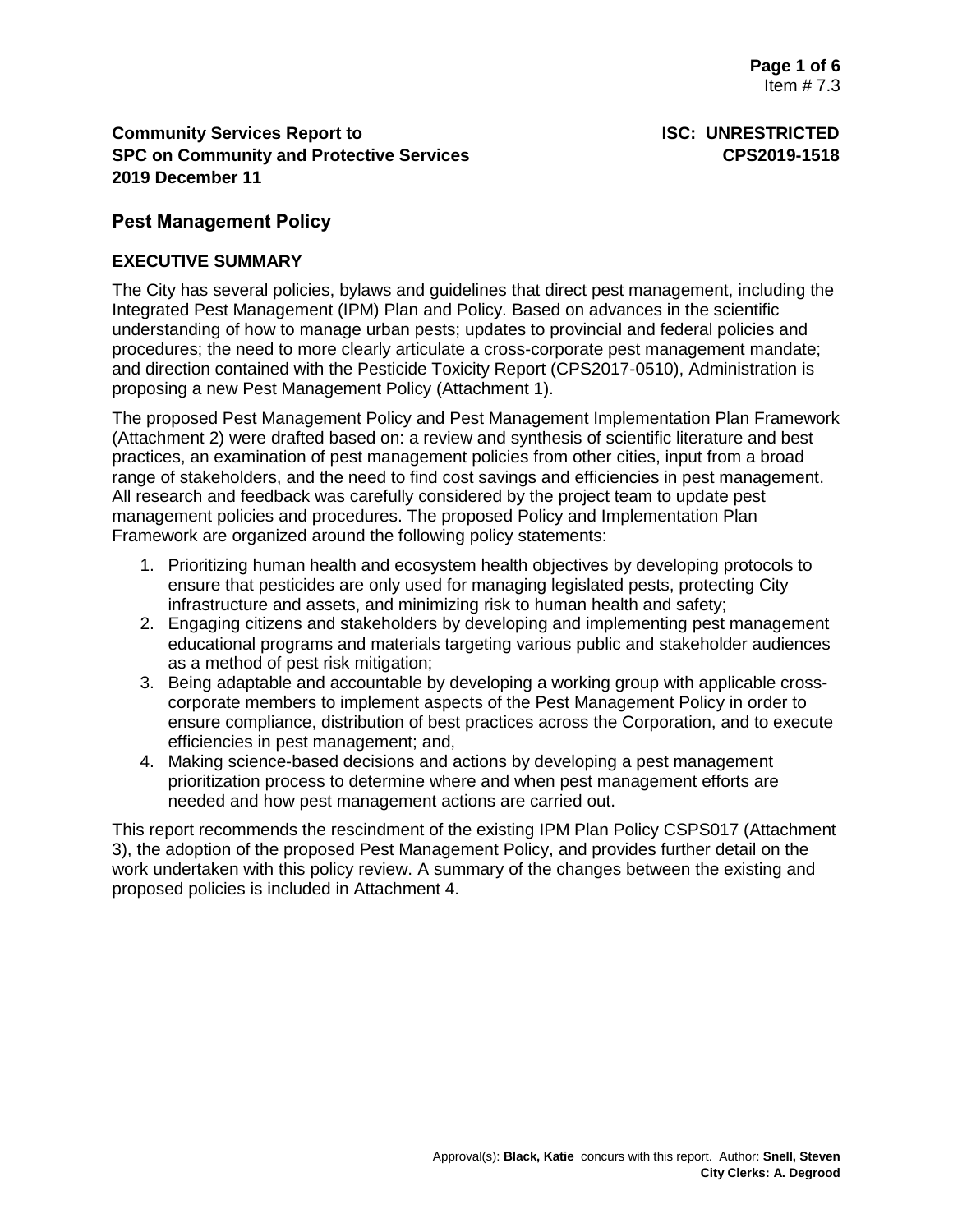# **Community Services Report to <b>ISC: UNRESTRICTED SPC on Community and Protective Services CPS2019-1518 2019 December 11**

# **Pest Management Policy**

# **EXECUTIVE SUMMARY**

The City has several policies, bylaws and guidelines that direct pest management, including the Integrated Pest Management (IPM) Plan and Policy. Based on advances in the scientific understanding of how to manage urban pests; updates to provincial and federal policies and procedures; the need to more clearly articulate a cross-corporate pest management mandate; and direction contained with the Pesticide Toxicity Report (CPS2017-0510), Administration is proposing a new Pest Management Policy (Attachment 1).

The proposed Pest Management Policy and Pest Management Implementation Plan Framework (Attachment 2) were drafted based on: a review and synthesis of scientific literature and best practices, an examination of pest management policies from other cities, input from a broad range of stakeholders, and the need to find cost savings and efficiencies in pest management. All research and feedback was carefully considered by the project team to update pest management policies and procedures. The proposed Policy and Implementation Plan Framework are organized around the following policy statements:

- 1. Prioritizing human health and ecosystem health objectives by developing protocols to ensure that pesticides are only used for managing legislated pests, protecting City infrastructure and assets, and minimizing risk to human health and safety;
- 2. Engaging citizens and stakeholders by developing and implementing pest management educational programs and materials targeting various public and stakeholder audiences as a method of pest risk mitigation;
- 3. Being adaptable and accountable by developing a working group with applicable crosscorporate members to implement aspects of the Pest Management Policy in order to ensure compliance, distribution of best practices across the Corporation, and to execute efficiencies in pest management; and,
- 4. Making science-based decisions and actions by developing a pest management prioritization process to determine where and when pest management efforts are needed and how pest management actions are carried out.

This report recommends the rescindment of the existing IPM Plan Policy CSPS017 (Attachment 3), the adoption of the proposed Pest Management Policy, and provides further detail on the work undertaken with this policy review. A summary of the changes between the existing and proposed policies is included in Attachment 4.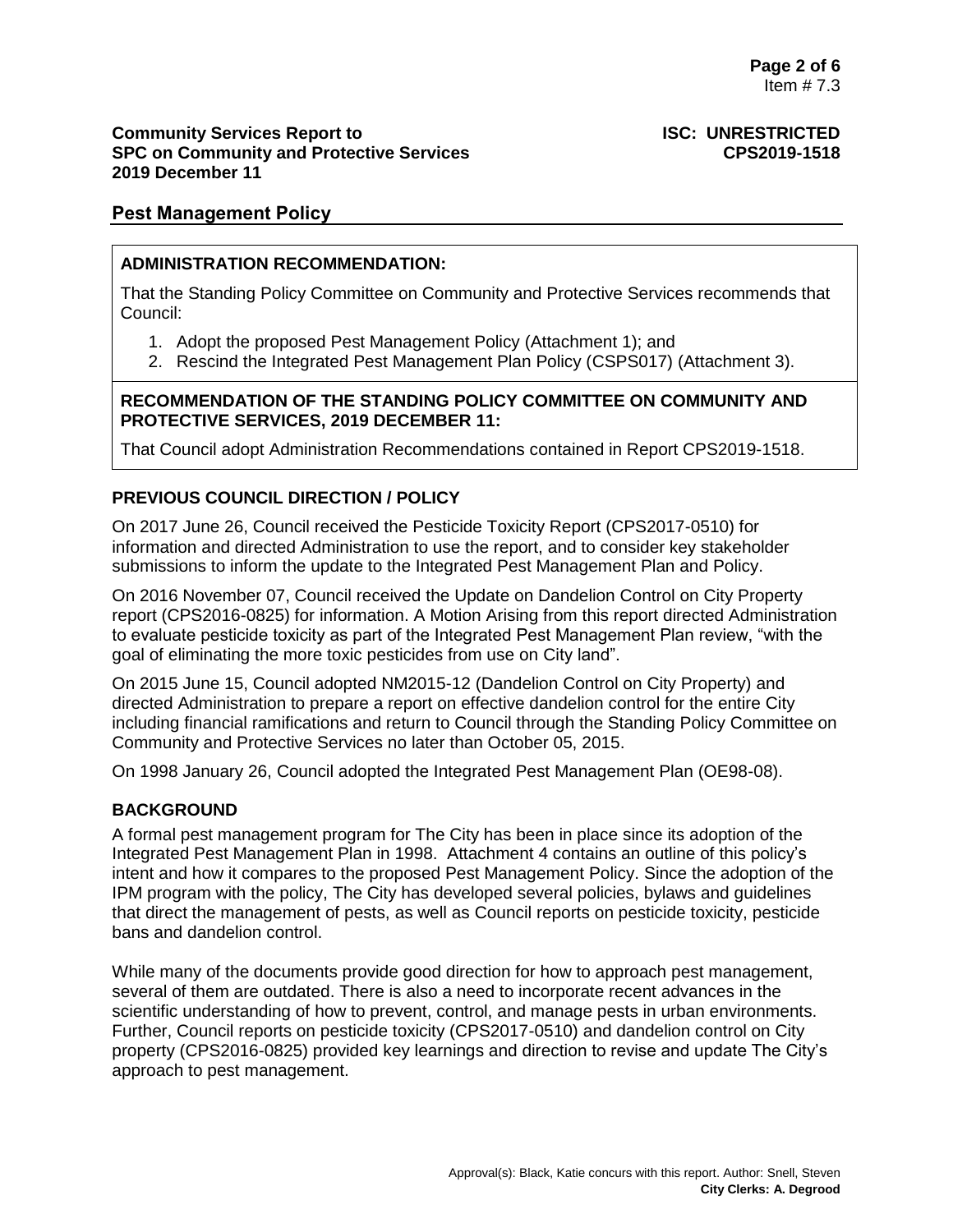### **Community Services Report to ISC: UNRESTRICTED SPC on Community and Protective Services CPS2019-1518 2019 December 11**

## **Pest Management Policy**

## **ADMINISTRATION RECOMMENDATION:**

That the Standing Policy Committee on Community and Protective Services recommends that Council:

- 1. Adopt the proposed Pest Management Policy (Attachment 1); and
- 2. Rescind the Integrated Pest Management Plan Policy (CSPS017) (Attachment 3).

### **RECOMMENDATION OF THE STANDING POLICY COMMITTEE ON COMMUNITY AND PROTECTIVE SERVICES, 2019 DECEMBER 11:**

That Council adopt Administration Recommendations contained in Report CPS2019-1518.

## **PREVIOUS COUNCIL DIRECTION / POLICY**

On 2017 June 26, Council received the Pesticide Toxicity Report (CPS2017-0510) for information and directed Administration to use the report, and to consider key stakeholder submissions to inform the update to the Integrated Pest Management Plan and Policy.

On 2016 November 07, Council received the Update on Dandelion Control on City Property report (CPS2016-0825) for information. A Motion Arising from this report directed Administration to evaluate pesticide toxicity as part of the Integrated Pest Management Plan review, "with the goal of eliminating the more toxic pesticides from use on City land".

On 2015 June 15, Council adopted NM2015-12 (Dandelion Control on City Property) and directed Administration to prepare a report on effective dandelion control for the entire City including financial ramifications and return to Council through the Standing Policy Committee on Community and Protective Services no later than October 05, 2015.

On 1998 January 26, Council adopted the Integrated Pest Management Plan (OE98-08).

# **BACKGROUND**

A formal pest management program for The City has been in place since its adoption of the Integrated Pest Management Plan in 1998. Attachment 4 contains an outline of this policy's intent and how it compares to the proposed Pest Management Policy. Since the adoption of the IPM program with the policy, The City has developed several policies, bylaws and guidelines that direct the management of pests, as well as Council reports on pesticide toxicity, pesticide bans and dandelion control.

While many of the documents provide good direction for how to approach pest management, several of them are outdated. There is also a need to incorporate recent advances in the scientific understanding of how to prevent, control, and manage pests in urban environments. Further, Council reports on pesticide toxicity (CPS2017-0510) and dandelion control on City property (CPS2016-0825) provided key learnings and direction to revise and update The City's approach to pest management.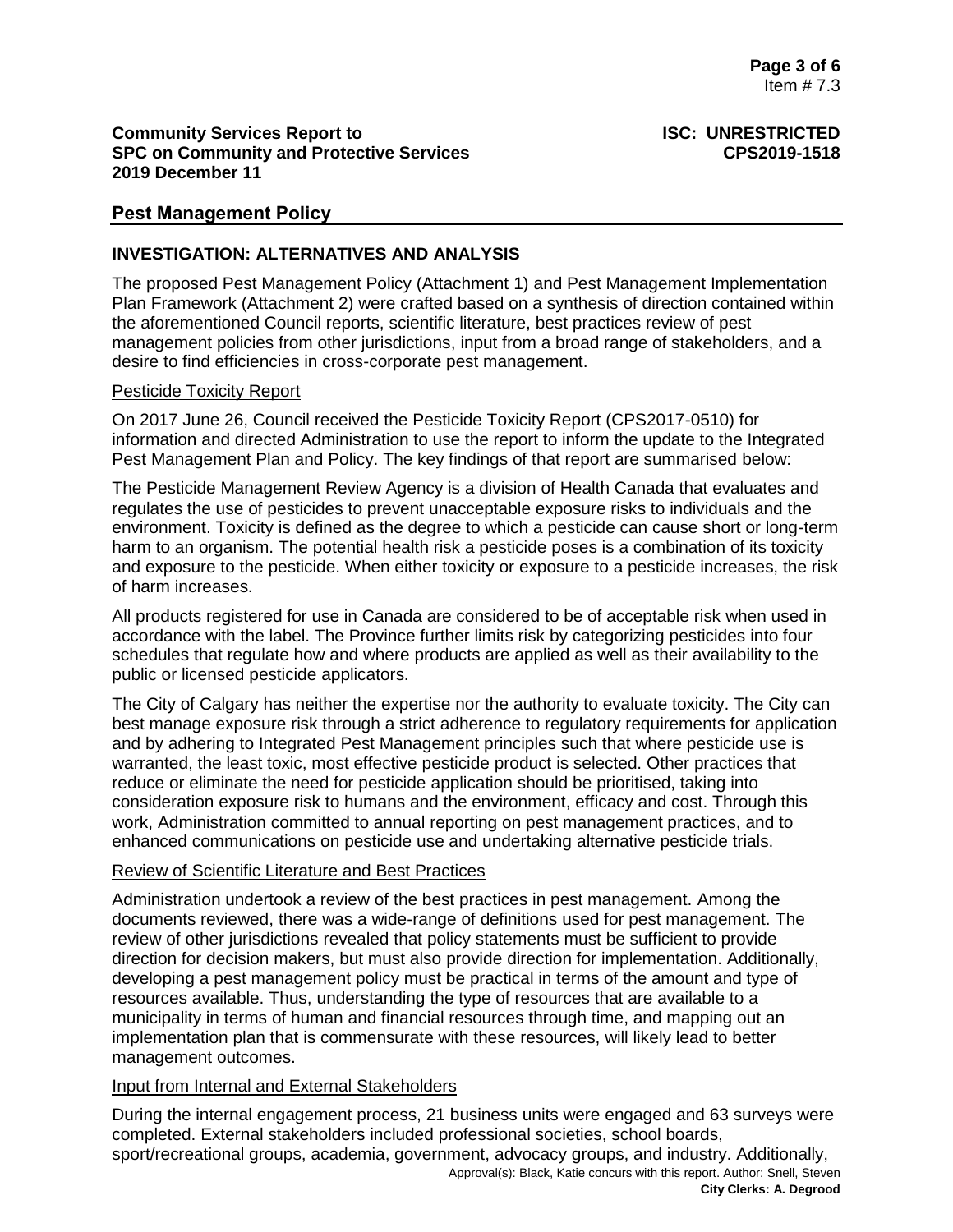## **Community Services Report to ISC: UNRESTRICTED SPC on Community and Protective Services CPS2019-1518 2019 December 11**

# **Pest Management Policy**

## **INVESTIGATION: ALTERNATIVES AND ANALYSIS**

The proposed Pest Management Policy (Attachment 1) and Pest Management Implementation Plan Framework (Attachment 2) were crafted based on a synthesis of direction contained within the aforementioned Council reports, scientific literature, best practices review of pest management policies from other jurisdictions, input from a broad range of stakeholders, and a desire to find efficiencies in cross-corporate pest management.

### Pesticide Toxicity Report

On 2017 June 26, Council received the Pesticide Toxicity Report (CPS2017-0510) for information and directed Administration to use the report to inform the update to the Integrated Pest Management Plan and Policy. The key findings of that report are summarised below:

The Pesticide Management Review Agency is a division of Health Canada that evaluates and regulates the use of pesticides to prevent unacceptable exposure risks to individuals and the environment. Toxicity is defined as the degree to which a pesticide can cause short or long-term harm to an organism. The potential health risk a pesticide poses is a combination of its toxicity and exposure to the pesticide. When either toxicity or exposure to a pesticide increases, the risk of harm increases.

All products registered for use in Canada are considered to be of acceptable risk when used in accordance with the label. The Province further limits risk by categorizing pesticides into four schedules that regulate how and where products are applied as well as their availability to the public or licensed pesticide applicators.

The City of Calgary has neither the expertise nor the authority to evaluate toxicity. The City can best manage exposure risk through a strict adherence to regulatory requirements for application and by adhering to Integrated Pest Management principles such that where pesticide use is warranted, the least toxic, most effective pesticide product is selected. Other practices that reduce or eliminate the need for pesticide application should be prioritised, taking into consideration exposure risk to humans and the environment, efficacy and cost. Through this work, Administration committed to annual reporting on pest management practices, and to enhanced communications on pesticide use and undertaking alternative pesticide trials.

### Review of Scientific Literature and Best Practices

Administration undertook a review of the best practices in pest management. Among the documents reviewed, there was a wide-range of definitions used for pest management. The review of other jurisdictions revealed that policy statements must be sufficient to provide direction for decision makers, but must also provide direction for implementation. Additionally, developing a pest management policy must be practical in terms of the amount and type of resources available. Thus, understanding the type of resources that are available to a municipality in terms of human and financial resources through time, and mapping out an implementation plan that is commensurate with these resources, will likely lead to better management outcomes.

### Input from Internal and External Stakeholders

Approval(s): Black, Katie concurs with this report. Author: Snell, Steven During the internal engagement process, 21 business units were engaged and 63 surveys were completed. External stakeholders included professional societies, school boards, sport/recreational groups, academia, government, advocacy groups, and industry. Additionally,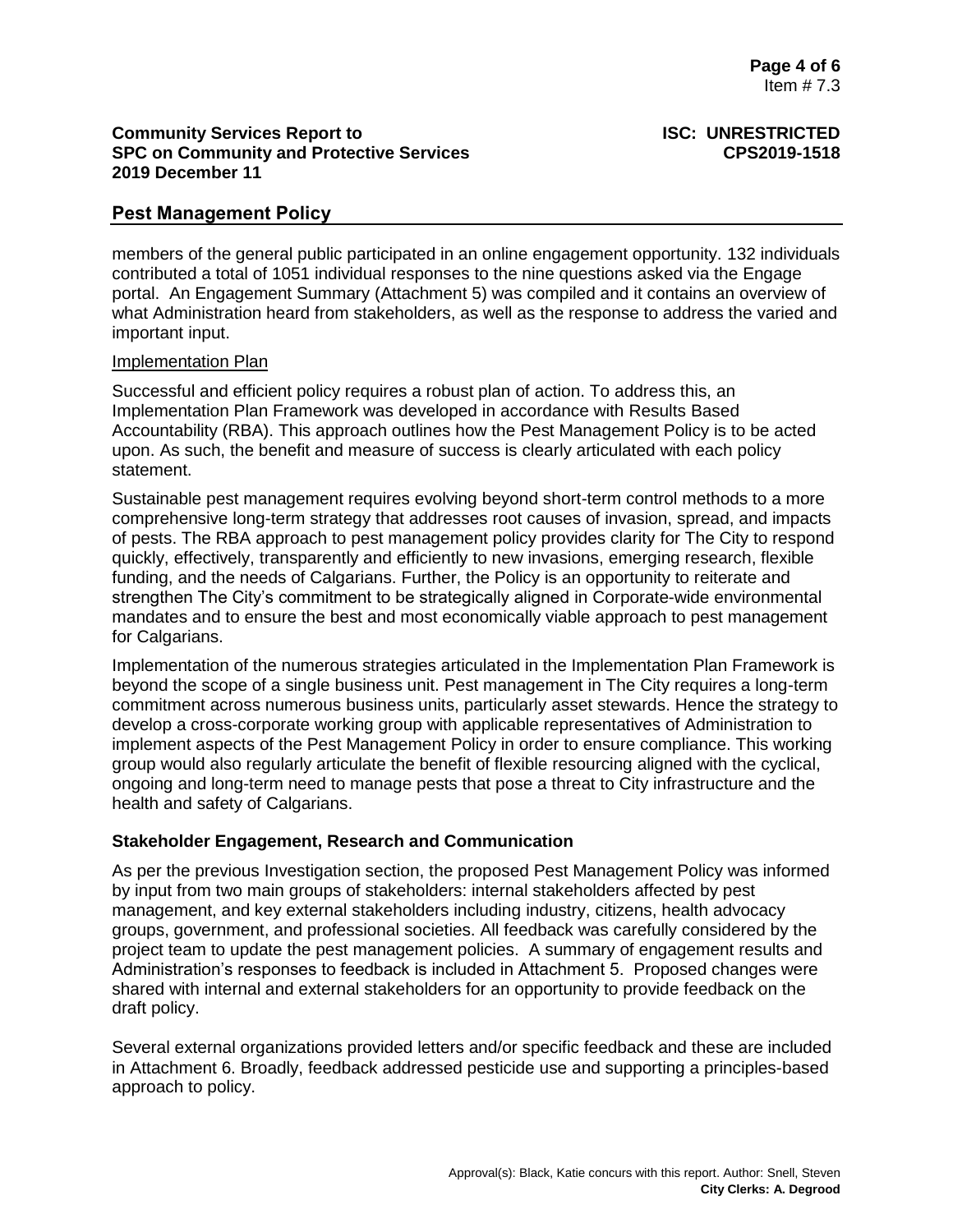## **Community Services Report to ISC: UNRESTRICTED SPC on Community and Protective Services CPS2019-1518 2019 December 11**

# **Pest Management Policy**

members of the general public participated in an online engagement opportunity. 132 individuals contributed a total of 1051 individual responses to the nine questions asked via the Engage portal. An Engagement Summary (Attachment 5) was compiled and it contains an overview of what Administration heard from stakeholders, as well as the response to address the varied and important input.

#### Implementation Plan

Successful and efficient policy requires a robust plan of action. To address this, an Implementation Plan Framework was developed in accordance with Results Based Accountability (RBA). This approach outlines how the Pest Management Policy is to be acted upon. As such, the benefit and measure of success is clearly articulated with each policy statement.

Sustainable pest management requires evolving beyond short-term control methods to a more comprehensive long-term strategy that addresses root causes of invasion, spread, and impacts of pests. The RBA approach to pest management policy provides clarity for The City to respond quickly, effectively, transparently and efficiently to new invasions, emerging research, flexible funding, and the needs of Calgarians. Further, the Policy is an opportunity to reiterate and strengthen The City's commitment to be strategically aligned in Corporate-wide environmental mandates and to ensure the best and most economically viable approach to pest management for Calgarians.

Implementation of the numerous strategies articulated in the Implementation Plan Framework is beyond the scope of a single business unit. Pest management in The City requires a long-term commitment across numerous business units, particularly asset stewards. Hence the strategy to develop a cross-corporate working group with applicable representatives of Administration to implement aspects of the Pest Management Policy in order to ensure compliance. This working group would also regularly articulate the benefit of flexible resourcing aligned with the cyclical, ongoing and long-term need to manage pests that pose a threat to City infrastructure and the health and safety of Calgarians.

### **Stakeholder Engagement, Research and Communication**

As per the previous Investigation section, the proposed Pest Management Policy was informed by input from two main groups of stakeholders: internal stakeholders affected by pest management, and key external stakeholders including industry, citizens, health advocacy groups, government, and professional societies. All feedback was carefully considered by the project team to update the pest management policies. A summary of engagement results and Administration's responses to feedback is included in Attachment 5. Proposed changes were shared with internal and external stakeholders for an opportunity to provide feedback on the draft policy.

Several external organizations provided letters and/or specific feedback and these are included in Attachment 6. Broadly, feedback addressed pesticide use and supporting a principles-based approach to policy.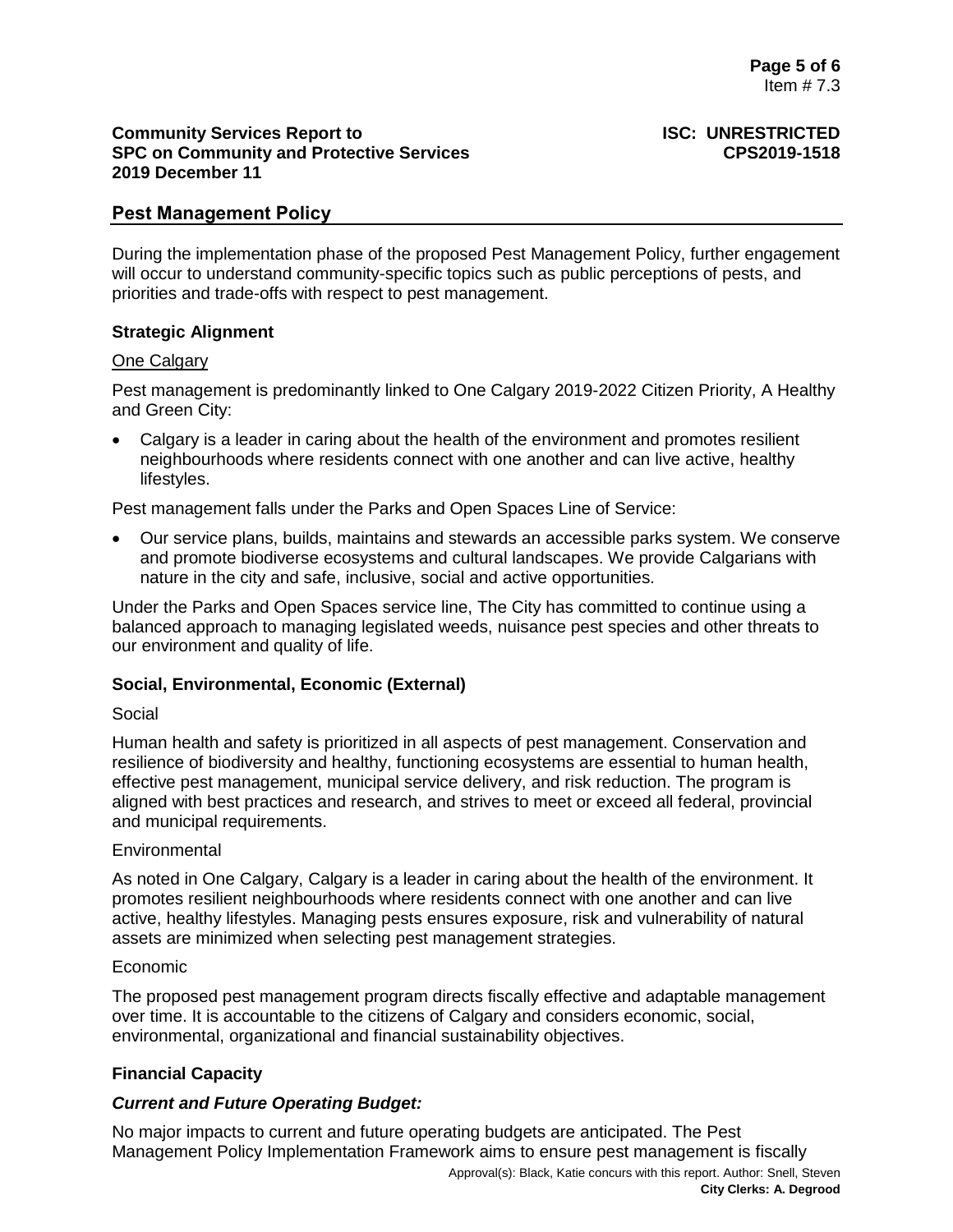## **Community Services Report to <b>ISC: UNRESTRICTED SPC on Community and Protective Services CPS2019-1518 2019 December 11**

# **Pest Management Policy**

During the implementation phase of the proposed Pest Management Policy, further engagement will occur to understand community-specific topics such as public perceptions of pests, and priorities and trade-offs with respect to pest management.

## **Strategic Alignment**

### One Calgary

Pest management is predominantly linked to One Calgary 2019-2022 Citizen Priority, A Healthy and Green City:

 Calgary is a leader in caring about the health of the environment and promotes resilient neighbourhoods where residents connect with one another and can live active, healthy lifestyles.

Pest management falls under the Parks and Open Spaces Line of Service:

 Our service plans, builds, maintains and stewards an accessible parks system. We conserve and promote biodiverse ecosystems and cultural landscapes. We provide Calgarians with nature in the city and safe, inclusive, social and active opportunities.

Under the Parks and Open Spaces service line, The City has committed to continue using a balanced approach to managing legislated weeds, nuisance pest species and other threats to our environment and quality of life.

# **Social, Environmental, Economic (External)**

### Social

Human health and safety is prioritized in all aspects of pest management. Conservation and resilience of biodiversity and healthy, functioning ecosystems are essential to human health, effective pest management, municipal service delivery, and risk reduction. The program is aligned with best practices and research, and strives to meet or exceed all federal, provincial and municipal requirements.

### Environmental

As noted in One Calgary, Calgary is a leader in caring about the health of the environment. It promotes resilient neighbourhoods where residents connect with one another and can live active, healthy lifestyles. Managing pests ensures exposure, risk and vulnerability of natural assets are minimized when selecting pest management strategies.

### Economic

The proposed pest management program directs fiscally effective and adaptable management over time. It is accountable to the citizens of Calgary and considers economic, social, environmental, organizational and financial sustainability objectives.

# **Financial Capacity**

# *Current and Future Operating Budget:*

No major impacts to current and future operating budgets are anticipated. The Pest Management Policy Implementation Framework aims to ensure pest management is fiscally